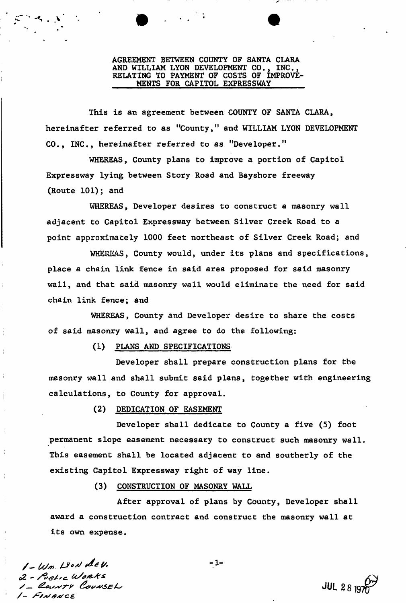#### AGREEMENT BETWEEN COUNTY OF SANTA CLARA AND WILLIAM LYON DEVELOPMENT CO., INC., RELATING TO PAYMENT OF COSTS OF IMPROVE-MENTS FOR CAPITOL EXPRESSWAY *• 9 • 9*

This is an agreement between COUNTY OF SANTA CLARA, hereinafter referred to as "County," and WILLIAM LYON DEVELOPMENT CO., INC., hereinafter referred to as "Developer."

WHEREAS, County plans to improve a portion of Capitol Expressway lying between Story Road and Bayshore freeway (Route 101); and

WHEREAS, Developer desires to construct a masonry wall adjacent to Capitol Expressway between Silver Creek Road to a point approximately 1000 feet northeast of Silver Creek Road; and

WHEREAS, County would, under its plans and specifications, place a chain link fence in said area proposed for said masonry wall, and that said masonry wall would eliminate the need for said chain link fence; and

WHEREAS, County and Developer desire to share the costs of said masonry wall, and agree to do the following:

(1) PLANS AND SPECIFICATIONS

Developer shall prepare construction plans for the masonry wall and shall submit said plans, together with engineering calculations, to County for approval.

(2) DEDICATION OF EASEMENT

Developer shall dedicate to County a five (5) foot permanent slope easement necessary to construct such masonry wall. This easement shall be located adjacent to and southerly of the existing Capitol Expressway right of way line.

(3) CONSTRUCTION OF MASONRY WALL

After approval of plans by County, Developer shall award a construction contract and construct the masonry wall at its own expense.

 $l - W$ <sup>n</sup>. Liew dev.  $-1$ d2 - */Ztf/sc . uSa&Ars* 1- FINANCE

**ti**  $\mathbf{r}^{\prime}$  . V

**JUL 2819**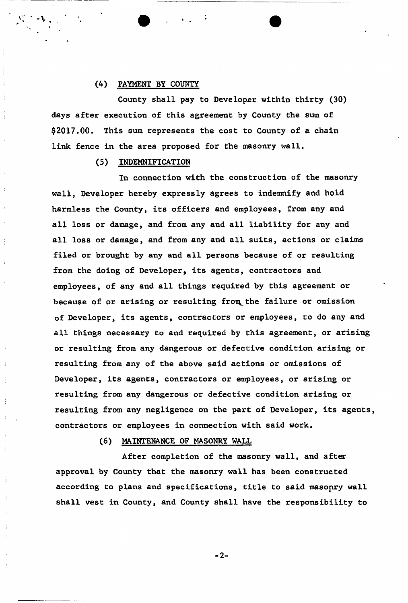## (4) PAYMENT BY COUNTY

County shall pay to Developer within thirty (30) days after execution of this agreement by County the sum of \$2017.00. This sum represents the cost to County of a chain link fence in the area proposed for the masonry wall.

## (5) INDEMNIFICATION

In connection with the construction of the masonry wall, Developer hereby expressly agrees to indemnify and hold harmless the County, its officers and employees, from any and all loss or damage, and from any and all liability for any and all loss or damage, and from any and all suits, actions or claims filed or brought by any and all persons because of or resulting from the doing of Developer, its agents, contractors and employees, of any and all things required by this agreement or because of or arising or resulting from the failure or omission of Developer, its agents, contractors or employees, to do any and all things necessary to and required by this agreement, or arising or resulting from any dangerous or defective condition arising or resulting from any of the above said actions or omissions of Developer, its agents, contractors or employees, or arising or resulting from any dangerous or defective condition arising or resulting from any negligence on the part of Developer, its agents, contractors or employees in connection with said work.

## (6) MAINTENANCE OF MASONRY WALL

After completion of the masonry wall, and after approval by County that the masonry wall has been constructed according to plans and specifications, title to said masonry wall shall vest in County, and County shall have the responsibility to

**2-**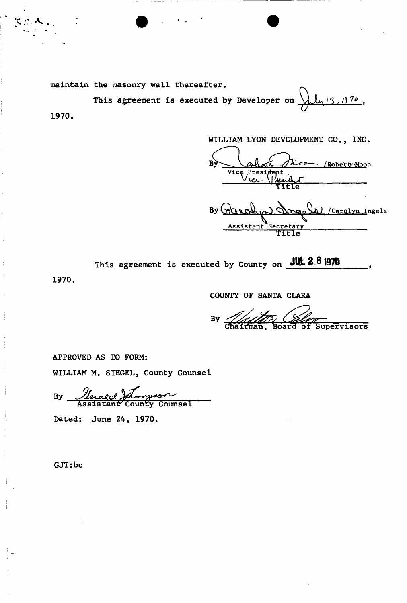maintain the masonry wall thereafter.

This agreement is executed by Developer on  $\frac{\sqrt{1-\frac{3}{13}}}{\frac{9}{2}}$ , 1970.

WILLIAM LYON DEVELOPMENT CO., INC  $\mathbf{B}$ /Robert Moon Vice President

By **Qq^cA ^** ^nrvao^; /Carolyn Ingels Assistant Secretary TTFIe

|  |  |  |  |  |  |  | "his agreement is executed by County on JUL 2.8 1970 |
|--|--|--|--|--|--|--|------------------------------------------------------|
|--|--|--|--|--|--|--|------------------------------------------------------|

1970.

COUNTY OF SANTA CLARA

 $By -$ Supervisors Chairman, Board of

APPROVED AS TO FORM:

WILLIAM M. SIEGEL, County Counsel

By <u>Nerald</u> Assistant County Counsel

Dated: June 24, 1970.

GJT:be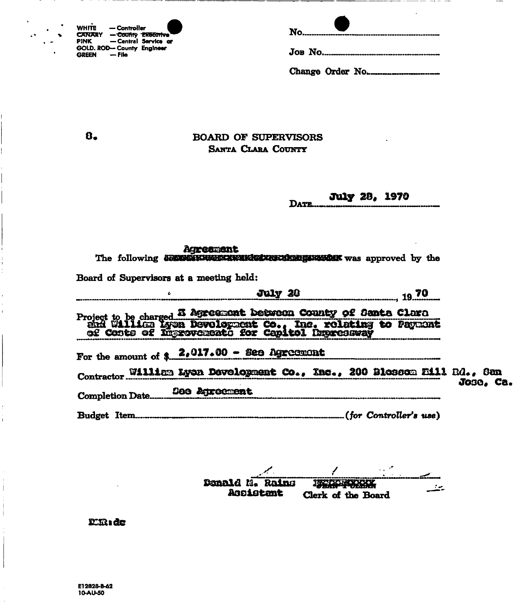| <b>WHITE</b>  | — Controller               |                      |
|---------------|----------------------------|----------------------|
| <b>CANARY</b> | - County Executive         |                      |
| PINK          |                            | - Central Service or |
|               | GOLD. ROD- County Engineer |                      |
| <b>GREEN</b>  | — File                     |                      |

 $\mathbf{a}$ .

 $\ddot{\phantom{a}}$ 

# **BOARD OF SUPERVISORS** SANTA CLARA COUNTY

#### **July 28, 1970** DATE.

| Agreement<br>The following communications and an account was approved by the                                                                                                            |               |  |
|-----------------------------------------------------------------------------------------------------------------------------------------------------------------------------------------|---------------|--|
| Board of Supervisors at a meeting held:                                                                                                                                                 |               |  |
|                                                                                                                                                                                         | July 20 19.70 |  |
|                                                                                                                                                                                         |               |  |
| Project to be charged <b>E Agreement between County of Santa Clara</b><br>end William Lyon Devolopment Co., Inc. rolating to Payment<br>of Costs of Ingrevements for Capitol Depressway |               |  |
| For the amount of $2.017.00 - 20$ Agreement                                                                                                                                             |               |  |
| Contractor William Lyon Development Co., Inc., 200 Blossom E111 Rd., San                                                                                                                |               |  |
|                                                                                                                                                                                         | Jose, Ca.     |  |
|                                                                                                                                                                                         |               |  |

Donald M. Rains **INCORPORATION** يتعنف Assistant Clerk of the Board

### $E$ i $R$ s de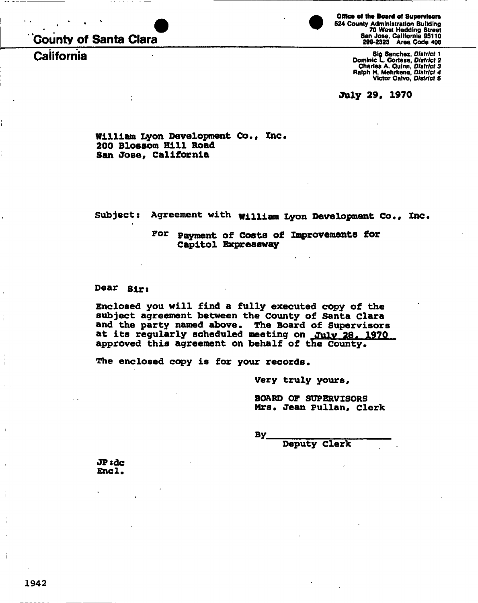# **County of Santa Clara**

**California** 

**Office of the Board of Supervisors** 

524 County Administration Building 70 West Hedding Street San Jose. California 95110 299-2323 Area Code 406

Sig Sanchez, *District 1*  Dominic L. Cortese, *District* 2 Charles A. Ouinn, *District 3*  Ralph H. Mehrkens, *District 4*  Victor Caivo, *District 6* 

July 29, 1970

**William Lyon Development Co., Inc. 200 Blossom Hill Road San Jose, California** 

**Subject: Agreement with William lyon Development Co., Inc.** 

For **Payment of Costs of Improvements for Capitol Expressway** 

# **Dear sirs**

**Enclosed you will find a fully executed copy of the subject agreement between the County of Santa Clara and the party named above. The Board of Supervisors at its regularly scheduled meeting on July 28. 1970 approved this agreement on behalf of the county.** 

**The enclosed copy is for your records.** 

**Very truly yours,** 

**BOARD OF SUPERVISORS Mrs. Jean Pullan, clerk** 

**By** 

**Deputy Clerk** 

jPsdc **Encl.**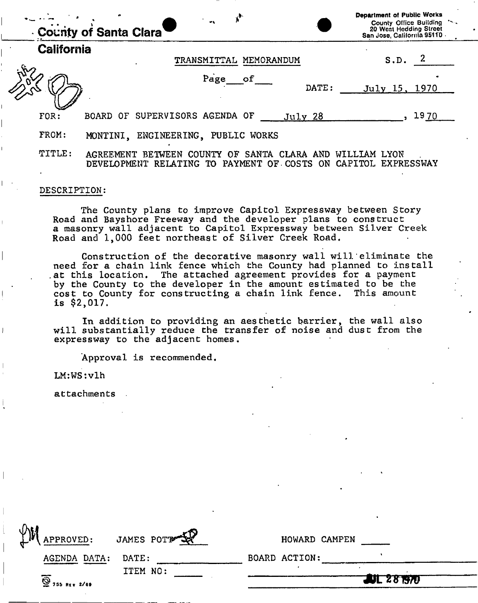|                   | $\bullet$ .<br>County of Santa Clara                                                                      | <b>Department of Public Works</b><br>County Office Building<br>20 West Hedding Street<br>San Jose, California 95110 - |
|-------------------|-----------------------------------------------------------------------------------------------------------|-----------------------------------------------------------------------------------------------------------------------|
| <b>California</b> | MEMORANDUM<br>TRANSMITTAL                                                                                 | S.D.                                                                                                                  |
|                   | Page<br>оf<br>DATE:                                                                                       | July 15, 1970                                                                                                         |
| FOR:              | BOARD OF SUPERVISORS AGENDA OF<br>July 28                                                                 | 1970                                                                                                                  |
| FROM:             | MONTINI, ENGINEERING, PUBLIC WORKS                                                                        |                                                                                                                       |
| TITLE:            | SANTA<br>COUNTY OF<br>AGREEMENT BETWEEN<br>CLARA AND<br>PAYMENT OF COSTS<br>DEVELOPMENT RELATING TO<br>ON | WILLIAM LYON<br>CAPITOL<br><b>EXPRESSWAY</b>                                                                          |

#### DESCRIPTION:

The County plans to improve Capitol Expressway between Story Road and Bayshore Freeway and the developer plans to construct a masonry wall adjacent to Capitol Expressway between Silver Creek Road and 1,000 feet northeast of Silver Creek Road.

Construction of the decorative masonry wall will'eliminate the need for a chain link fence which the County had planned to install .at this location. The attached agreement provides for a payment by the County to the developer in the amount estimated to be the cost to County for constructing a chain link fence. This amount is \$2,017.

In addition to providing an aesthetic barrier, the wall also will substantially reduce the transfer of noise and dust from the expressway to the adjacent homes.

Approval is recommended.

LM:WS:vlh

attachments

| $\mathbf{\mathfrak{P}}$<br>APPROVED: | JAMES POTT | HOWARD CAMPEN      |  |
|--------------------------------------|------------|--------------------|--|
| AGENDA DATA:                         | DATE:      | BOARD ACTION:      |  |
| $\overline{Q}$ 755 REV 2/69          | ITEM NO:   | <b>AJL 28 1970</b> |  |